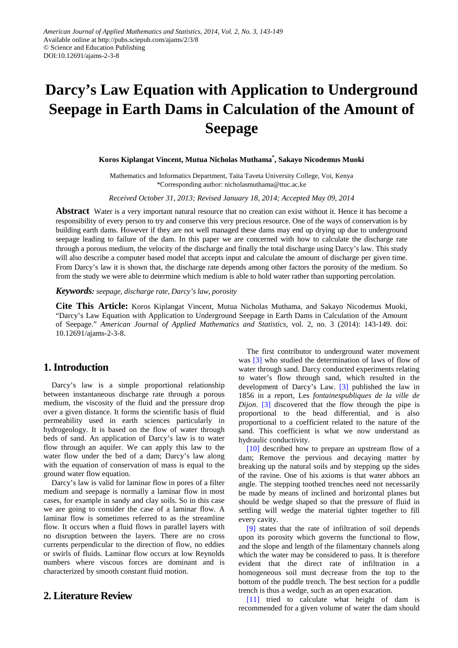# **Darcy's Law Equation with Application to Underground Seepage in Earth Dams in Calculation of the Amount of Seepage**

# **Koros Kiplangat Vincent, Mutua Nicholas Muthama\* , Sakayo Nicodemus Muoki**

Mathematics and Informatics Department, Taita Taveta University College, Voi, Kenya \*Corresponding author: nicholasmuthama@ttuc.ac.ke

*Received October 31, 2013; Revised January 18, 2014; Accepted May 09, 2014*

**Abstract** Water is a very important natural resource that no creation can exist without it. Hence it has become a responsibility of every person to try and conserve this very precious resource. One of the ways of conservation is by building earth dams. However if they are not well managed these dams may end up drying up due to underground seepage leading to failure of the dam. In this paper we are concerned with how to calculate the discharge rate through a porous medium, the velocity of the discharge and finally the total discharge using Darcy's law. This study will also describe a computer based model that accepts input and calculate the amount of discharge per given time. From Darcy's law it is shown that, the discharge rate depends among other factors the porosity of the medium. So from the study we were able to determine which medium is able to hold water rather than supporting percolation.

## *Keywords: seepage, discharge rate, Darcy's law, porosity*

**Cite This Article:** Koros Kiplangat Vincent, Mutua Nicholas Muthama, and Sakayo Nicodemus Muoki, "Darcy's Law Equation with Application to Underground Seepage in Earth Dams in Calculation of the Amount of Seepage." *American Journal of Applied Mathematics and Statistics*, vol. 2, no. 3 (2014): 143-149. doi: 10.12691/ajams-2-3-8.

# **1. Introduction**

Darcy's law is a simple proportional relationship between instantaneous discharge rate through a porous medium, the viscosity of the fluid and the pressure drop over a given distance. It forms the scientific basis of fluid permeability used in earth sciences particularly in hydrogeology. It is based on the flow of water through beds of sand. An application of Darcy's law is to water flow through an aquifer. We can apply this law to the water flow under the bed of a dam; Darcy's law along with the equation of conservation of mass is equal to the ground water flow equation.

Darcy's law is valid for laminar flow in pores of a filter medium and seepage is normally a laminar flow in most cases, for example in sandy and clay soils. So in this case we are going to consider the case of a laminar flow. A laminar flow is sometimes referred to as the streamline flow. It occurs when a fluid flows in parallel layers with no disruption between the layers. There are no cross currents perpendicular to the direction of flow, no eddies or swirls of fluids. Laminar flow occurs at low Reynolds numbers where viscous forces are dominant and is characterized by smooth constant fluid motion.

# **2. Literature Review**

The first contributor to underground water movement was [\[3\]](#page-6-0) who studied the determination of laws of flow of water through sand. Darcy conducted experiments relating to water's flow through sand, which resulted in the development of Darcy's Law. [\[3\]](#page-6-0) published the law in 1856 in a report, Les *fontainespubliques de la ville de Dijon.* [\[3\]](#page-6-0) discovered that the flow through the pipe is proportional to the head differential, and is also proportional to a coefficient related to the nature of the sand. This coefficient is what we now understand as hydraulic conductivity.

[\[10\]](#page-6-1) described how to prepare an upstream flow of a dam; Remove the pervious and decaying matter by breaking up the natural soils and by stepping up the sides of the ravine. One of his axioms is that water abhors an angle. The stepping toothed trenches need not necessarily be made by means of inclined and horizontal planes but should be wedge shaped so that the pressure of fluid in settling will wedge the material tighter together to fill every cavity.

[\[9\]](#page-6-2) states that the rate of infiltration of soil depends upon its porosity which governs the functional to flow, and the slope and length of the filamentary channels along which the water may be considered to pass. It is therefore evident that the direct rate of infiltration in a homogeneous soil must decrease from the top to the bottom of the puddle trench. The best section for a puddle trench is thus a wedge, such as an open exacation.

[\[11\]](#page-6-3) tried to calculate what height of dam is recommended for a given volume of water the dam should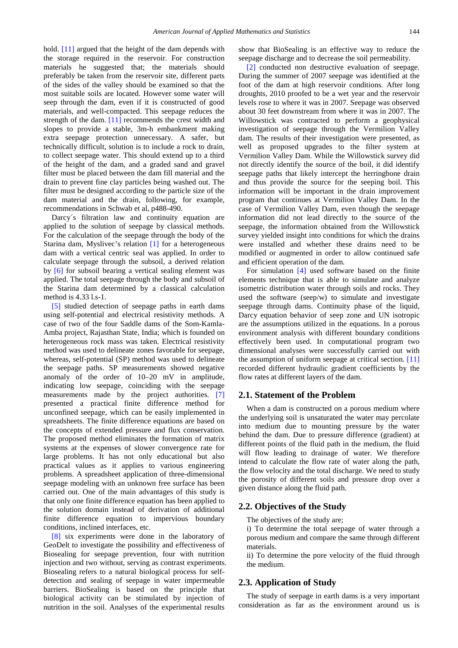hold. [\[11\]](#page-6-3) argued that the height of the dam depends with the storage required in the reservoir. For construction materials he suggested that; the materials should preferably be taken from the reservoir site, different parts of the sides of the valley should be examined so that the most suitable soils are located. However some water will seep through the dam, even if it is constructed of good materials, and well-compacted. This seepage reduces the strength of the dam. [\[11\]](#page-6-3) recommends the crest width and slopes to provide a stable, 3m-h embankment making extra seepage protection unnecessary. A safer, but technically difficult, solution is to include a rock to drain, to collect seepage water. This should extend up to a third of the height of the dam, and a graded sand and gravel filter must be placed between the dam fill material and the drain to prevent fine clay particles being washed out. The filter must be designed according to the particle size of the dam material and the drain, following, for example, recommendations in Schwab et al, p488-490.

Darcy's filtration law and continuity equation are applied to the solution of seepage by classical methods. For the calculation of the seepage through the body of the Starina dam, Myslivec's relation [\[1\]](#page-6-4) for a heterogeneous dam with a vertical centric seal was applied. In order to calculate seepage through the subsoil, a derived relation by [\[6\]](#page-6-5) for subsoil bearing a vertical sealing element was applied. The total seepage through the body and subsoil of the Starina dam determined by a classical calculation method is 4.33 l.s-1.

[\[5\]](#page-6-6) studied detection of seepage paths in earth dams using self-potential and electrical resistivity methods. A case of two of the four Saddle dams of the Som-Kamla-Amba project, Rajasthan State, India; which is founded on heterogeneous rock mass was taken. Electrical resistivity method was used to delineate zones favorable for seepage, whereas, self-potential (SP) method was used to delineate the seepage paths. SP measurements showed negative anomaly of the order of 10–20 mV in amplitude, indicating low seepage, coinciding with the seepage measurements made by the project authorities. [\[7\]](#page-6-7) presented a practical finite difference method for unconfined seepage, which can be easily implemented in spreadsheets. The finite difference equations are based on the concepts of extended pressure and flux conservation. The proposed method eliminates the formation of matrix systems at the expenses of slower convergence rate for large problems. It has not only educational but also practical values as it applies to various engineering problems. A spreadsheet application of three-dimensional seepage modeling with an unknown free surface has been carried out. One of the main advantages of this study is that only one finite difference equation has been applied to the solution domain instead of derivation of additional finite difference equation to impervious boundary conditions, inclined interfaces, etc.

[\[8\]](#page-6-8) six experiments were done in the laboratory of GeoDelt to investigate the possibility and effectiveness of Biosealing for seepage prevention, four with nutrition injection and two without, serving as contrast experiments. Biosealing refers to a natural biological process for selfdetection and sealing of seepage in water impermeable barriers. BioSealing is based on the principle that biological activity can be stimulated by injection of nutrition in the soil. Analyses of the experimental results

show that BioSealing is an effective way to reduce the seepage discharge and to decrease the soil permeability.

[\[2\]](#page-6-9) conducted non destructive evaluation of seepage. During the summer of 2007 seepage was identified at the foot of the dam at high reservoir conditions. After long droughts, 2010 proofed to be a wet year and the reservoir levels rose to where it was in 2007. Seepage was observed about 30 feet downstream from where it was in 2007. The Willowstick was contracted to perform a geophysical investigation of seepage through the Vermilion Valley dam. The results of their investigation were presented, as well as proposed upgrades to the filter system at Vermilion Valley Dam. While the Willowstick survey did not directly identify the source of the boil, it did identify seepage paths that likely intercept the herringbone drain and thus provide the source for the seeping boil. This information will be important in the drain improvement program that continues at Vermilion Valley Dam. In the case of Vermilion Valley Dam, even though the seepage information did not lead directly to the source of the seepage, the information obtained from the Willowstick survey yielded insight into conditions for which the drains were installed and whether these drains need to be modified or augmented in order to allow continued safe and efficient operation of the dam.

For simulation [\[4\]](#page-6-10) used software based on the finite elements technique that is able to simulate and analyze isometric distribution water through soils and rocks. They used the software (seep/w) to simulate and investigate seepage through dams. Continuity phase of the liquid, Darcy equation behavior of seep zone and UN isotropic are the assumptions utilized in the equations. In a porous environment analysis with different boundary conditions effectively been used. In computational program two dimensional analyses were successfully carried out with the assumption of uniform seepage at critical section. [\[11\]](#page-6-3) recorded different hydraulic gradient coefficients by the flow rates at different layers of the dam.

## **2.1. Statement of the Problem**

When a dam is constructed on a porous medium where the underlying soil is unsaturated the water may percolate into medium due to mounting pressure by the water behind the dam. Due to pressure difference (gradient) at different points of the fluid path in the medium, the fluid will flow leading to drainage of water. We therefore intend to calculate the flow rate of water along the path, the flow velocity and the total discharge. We need to study the porosity of different soils and pressure drop over a given distance along the fluid path.

## **2.2. Objectives of the Study**

The objectives of the study are;

- i) To determine the total seepage of water through a porous medium and compare the same through different materials.
- ii) To determine the pore velocity of the fluid through the medium.

#### **2.3. Application of Study**

The study of seepage in earth dams is a very important consideration as far as the environment around us is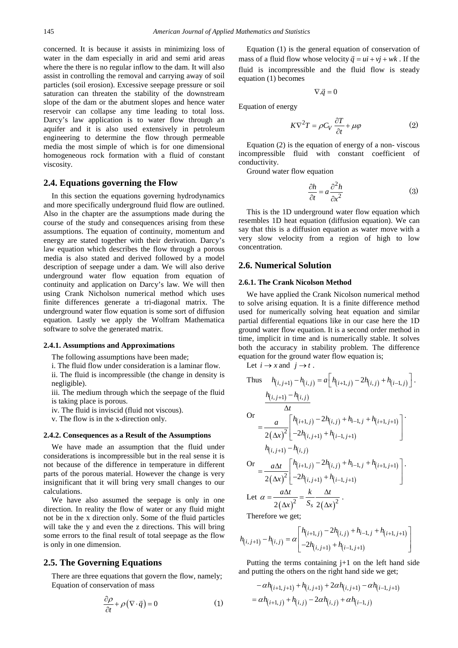concerned. It is because it assists in minimizing loss of water in the dam especially in arid and semi arid areas where the there is no regular inflow to the dam. It will also assist in controlling the removal and carrying away of soil particles (soil erosion). Excessive seepage pressure or soil saturation can threaten the stability of the downstream slope of the dam or the abutment slopes and hence water reservoir can collapse any time leading to total loss. Darcy's law application is to water flow through an aquifer and it is also used extensively in petroleum engineering to determine the flow through permeable media the most simple of which is for one dimensional homogeneous rock formation with a fluid of constant viscosity.

## **2.4. Equations governing the Flow**

In this section the equations governing hydrodynamics and more specifically underground fluid flow are outlined. Also in the chapter are the assumptions made during the course of the study and consequences arising from these assumptions. The equation of continuity, momentum and energy are stated together with their derivation. Darcy's law equation which describes the flow through a porous media is also stated and derived followed by a model description of seepage under a dam. We will also derive underground water flow equation from equation of continuity and application on Darcy's law. We will then using Crank Nicholson numerical method which uses finite differences generate a tri-diagonal matrix. The underground water flow equation is some sort of diffusion equation. Lastly we apply the Wolfram Mathematica software to solve the generated matrix.

#### **2.4.1. Assumptions and Approximations**

The following assumptions have been made;

i. The fluid flow under consideration is a laminar flow.

ii. The fluid is incompressible (the change in density is negligible).

iii. The medium through which the seepage of the fluid is taking place is porous.

iv. The fluid is inviscid (fluid not viscous).

v. The flow is in the x-direction only.

#### **2.4.2. Consequences as a Result of the Assumptions**

We have made an assumption that the fluid under considerations is incompressible but in the real sense it is not because of the difference in temperature in different parts of the porous material. However the change is very insignificant that it will bring very small changes to our calculations.

We have also assumed the seepage is only in one direction. In reality the flow of water or any fluid might not be in the x direction only. Some of the fluid particles will take the y and even the z directions. This will bring some errors to the final result of total seepage as the flow is only in one dimension.

## **2.5. The Governing Equations**

There are three equations that govern the flow, namely; Equation of conservation of mass

$$
\frac{\partial \rho}{\partial t} + \rho (\nabla \cdot \vec{q}) = 0 \tag{1}
$$

Equation (1) is the general equation of conservation of mass of a fluid flow whose velocity  $\vec{q} = u\hat{i} + v\hat{j} + w\hat{k}$ . If the fluid is incompressible and the fluid flow is steady equation (1) becomes

$$
\nabla.\vec{q}=0
$$

Equation of energy

$$
K\nabla^2 T = \rho C_V \frac{\partial T}{\partial t} + \mu \varphi \tag{2}
$$

Equation (2) is the equation of energy of a non- viscous incompressible fluid with constant coefficient of conductivity.

Ground water flow equation

$$
\frac{\partial h}{\partial t} = a \frac{\partial^2 h}{\partial x^2} \tag{3}
$$

This is the 1D underground water flow equation which resembles 1D heat equation (diffusion equation). We can say that this is a diffusion equation as water move with a very slow velocity from a region of high to low concentration.

# **2.6. Numerical Solution**

#### **2.6.1. The Crank Nicolson Method**

We have applied the Crank Nicolson numerical method to solve arising equation. It is a finite difference method used for numerically solving heat equation and similar partial differential equations like in our case here the 1D ground water flow equation. It is a second order method in time, implicit in time and is numerically stable. It solves both the accuracy in stability problem. The difference equation for the ground water flow equation is;

Let  $i \rightarrow x$  and  $j \rightarrow t$ .

Thus 
$$
h_{(i,j+1)} - h_{(i,j)} = a \left[ h_{(i+1,j)} - 2h_{(i,j)} + h_{(i-1,j)} \right].
$$
  
\n
$$
\frac{h_{(i,j+1)} - h_{(i,j)}}{\Delta t}
$$
\n
$$
= \frac{a}{2(\Delta x)^2} \left[ \frac{h_{(i+1,j)} - 2h_{(i,j)} + h_{i-1,j} + h_{(i+1,j+1)}}{-2h_{(i,j+1)} + h_{(i-1,j+1)}} \right].
$$
\n
$$
h_{(i,j+1)} - h_{(i,j)}
$$
\n
$$
= \frac{a\Delta t}{2(\Delta x)^2} \left[ \frac{h_{(i+1,j)} - 2h_{(i,j)} + h_{i-1,j} + h_{(i+1,j+1)}}{-2h_{(i,j+1)} + h_{(i-1,j+1)}} \right].
$$
\nLet  $\alpha = \frac{a\Delta t}{2(\Delta x)^2} = \frac{k}{S_s} \frac{\Delta t}{2(\Delta x)^2}.$ 

Therefore we get;

$$
h_{(i,j+1)} - h_{(i,j)} = \alpha \begin{bmatrix} h_{(i+1,j)} - 2h_{(i,j)} + h_{i-1,j} + h_{(i+1,j+1)} \\ -2h_{(i,j+1)} + h_{(i-1,j+1)} \end{bmatrix}
$$

Putting the terms containing  $j+1$  on the left hand side and putting the others on the right hand side we get;

$$
- \alpha h_{(i+1,j+1)} + h_{(i,j+1)} + 2\alpha h_{(i,j+1)} - \alpha h_{(i-1,j+1)}
$$
  
=  $\alpha h_{(i+1,j)} + h_{(i,j)} - 2\alpha h_{(i,j)} + \alpha h_{(i-1,j)}$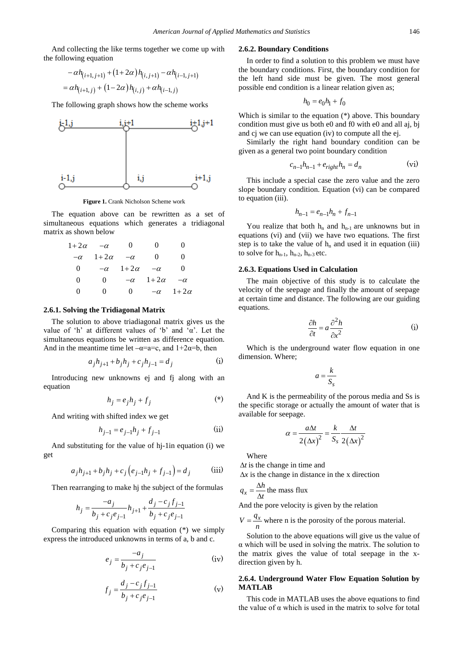And collecting the like terms together we come up with the following equation

$$
- \alpha h_{(i+1,j+1)} + (1+2\alpha) h_{(i,j+1)} - \alpha h_{(i-1,j+1)}
$$
  
=  $\alpha h_{(i+1,j)} + (1-2\alpha) h_{(i,j)} + \alpha h_{(i-1,j)}$ 

The following graph shows how the scheme works



**Figure 1.** Crank Nicholson Scheme work

The equation above can be rewritten as a set of simultaneous equations which generates a tridiagonal matrix as shown below

| $1+2\alpha$  | $-\alpha$   | $\theta$    | $_{0}$      | 0           |
|--------------|-------------|-------------|-------------|-------------|
| $-\alpha$    | $1+2\alpha$ | $-\alpha$   | $\theta$    | 0           |
| 0            | $-\alpha$   | $1+2\alpha$ | $-\alpha$   | 0           |
| 0            | $\Omega$    | $-\alpha$   | $1+2\alpha$ | $-\alpha$   |
| $\mathbf{0}$ | 0           | $\Omega$    | $-\alpha$   | $1+2\alpha$ |

#### **2.6.1. Solving the Tridiagonal Matrix**

The solution to above triadiagonal matrix gives us the value of 'h' at different values of 'b' and 'α'. Let the simultaneous equations be written as difference equation. And in the meantime time let  $-\alpha=a=c$ , and  $1+2\alpha=b$ , then

$$
a_j h_{j+1} + b_j h_j + c_j h_{j-1} = d_j
$$
 (i)

Introducing new unknowns ej and fj along with an equation

$$
h_j = e_j h_j + f_j \tag{*}
$$

And writing with shifted index we get

$$
h_{j-1} = e_{j-1}h_j + f_{j-1}
$$
 (ii)

And substituting for the value of hj-1in equation (i) we get

$$
a_j h_{j+1} + b_j h_j + c_j (e_{j-1} h_j + f_{j-1}) = d_j
$$
 (iii)

Then rearranging to make hj the subject of the formulas

$$
h_j = \frac{-a_j}{b_j + c_j e_{j-1}} h_{j+1} + \frac{d_j - c_j f_{j-1}}{b_j + c_j e_{j-1}}
$$

Comparing this equation with equation (\*) we simply express the introduced unknowns in terms of a, b and c.

$$
e_j = \frac{-a_j}{b_j + c_j e_{j-1}} \tag{iv}
$$

$$
f_j = \frac{d_j - c_j f_{j-1}}{b_j + c_j e_{j-1}}
$$
 (v)

#### **2.6.2. Boundary Conditions**

In order to find a solution to this problem we must have the boundary conditions. First, the boundary condition for the left hand side must be given. The most general possible end condition is a linear relation given as;

$$
h_0 = e_0 h_1 + f_0
$$

Which is similar to the equation (\*) above. This boundary condition must give us both e0 and f0 with e0 and all aj, bj and cj we can use equation (iv) to compute all the ej.

Similarly the right hand boundary condition can be given as a general two point boundary condition

$$
c_{n-1}h_{n-1} + e_{right}h_n = d_n \tag{vi}
$$

This include a special case the zero value and the zero slope boundary condition. Equation (vi) can be compared to equation (iii).

$$
h_{n-1} = e_{n-1}h_n + f_{n-1}
$$

You realize that both  $h_n$  and  $h_{n-1}$  are unknowns but in equations (vi) and (vii) we have two equations. The first step is to take the value of  $h_n$  and used it in equation (iii) to solve for  $h_{n-1}$ ,  $h_{n-2}$ ,  $h_{n-3}$  etc.

#### **2.6.3. Equations Used in Calculation**

The main objective of this study is to calculate the velocity of the seepage and finally the amount of seepage at certain time and distance. The following are our guiding equations.

$$
\frac{\partial h}{\partial t} = a \frac{\partial^2 h}{\partial x^2}
$$
 (i)

Which is the underground water flow equation in one dimension. Where;

$$
a = \frac{k}{S_s}
$$

And K is the permeability of the porous media and Ss is the specific storage or actually the amount of water that is available for seepage.

$$
\alpha = \frac{a\Delta t}{2(\Delta x)^2} = \frac{k}{S_s} \frac{\Delta t}{2(\Delta x)^2}
$$

Where

∆*t* is the change in time and

∆*x* is the change in distance in the x direction

*x*  $q_x = \frac{\Delta h}{\Delta t}$  the mass flux

And the pore velocity is given by the relation

 $V = \frac{q_x}{q_x}$  where n is the porosity of the porous material.

Solution to the above equations will give us the value of  $\alpha$  which will be used in solving the matrix. The solution to the matrix gives the value of total seepage in the xdirection given by h.

## **2.6.4. Underground Water Flow Equation Solution by MATLAB**

This code in MATLAB uses the above equations to find the value of  $\alpha$  which is used in the matrix to solve for total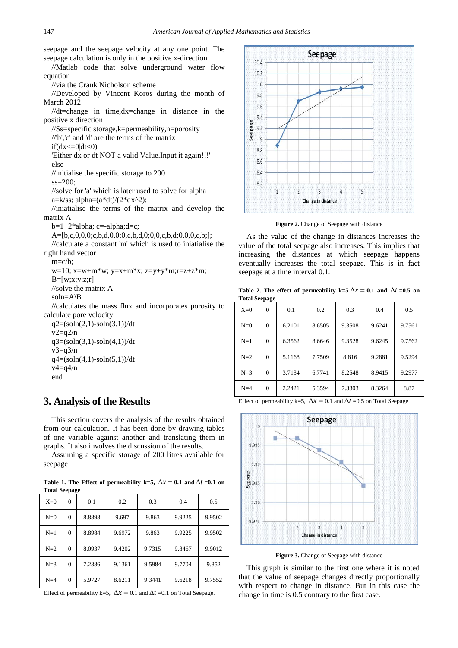seepage and the seepage velocity at any one point. The seepage calculation is only in the positive x-direction.

//Matlab code that solve underground water flow equation

//via the Crank Nicholson scheme

//Developed by Vincent Koros during the month of March 2012

//dt=change in time,dx=change in distance in the positive x direction

//Ss=specific storage,k=permeability,n=porosity

//'b','c' and 'd' are the terms of the matrix

 $if(dx=0|dt<0)$ 

'Either dx or dt NOT a valid Value.Input it again!!!' else

//initialise the specific storage to 200

 $ss=200$ :

//solve for 'a' which is later used to solve for alpha a=k/ss; alpha= $(a^*dt)/(2^*dx^2)$ ;

//iniatialise the terms of the matrix and develop the matrix A

 $b=1+2*alpha; c=-alpha;$ 

A=[b,c,0,0,0;c,b,d,0,0;0,c,b,d,0;0,0,c,b,d;0,0,0,c,b;];

//calculate a constant 'm' which is used to iniatialise the right hand vector

 $m=c/b$ :

w=10; x=w+m\*w; y=x+m\*x; z=y+y\*m;r=z+z\*m;  $B=[w;x;y;z;r]$ 

//solve the matrix A

 $soln=ANB$ 

//calculates the mass flux and incorporates porosity to calculate pore velocity

 $q2=(\text{soln}(2,1)-\text{soln}(3,1))/dt$  $v2=q2/n$  $q3 = (\text{soln}(3,1) - \text{soln}(4,1))/dt$  $v3=q3/n$  $q4 = (\frac{\text{soln}(4,1) - \text{soln}(5,1)}{dt}$  $v4=q4/n$ end

# **3. Analysis of the Results**

This section covers the analysis of the results obtained from our calculation. It has been done by drawing tables of one variable against another and translating them in graphs. It also involves the discussion of the results.

Assuming a specific storage of 200 litres available for seepage

Table 1. The Effect of permeability k=5,  $\Delta x = 0.1$  and  $\Delta t = 0.1$  on **Total Seepage**

| Tutal Stepage |          |        |        |        |        |        |
|---------------|----------|--------|--------|--------|--------|--------|
| $X=0$         | $\theta$ | 0.1    | 0.2    | 0.3    | 0.4    | 0.5    |
| $N=0$         | $\Omega$ | 8.8898 | 9.697  | 9.863  | 9.9225 | 9.9502 |
| $N=1$         | $\Omega$ | 8.8984 | 9.6972 | 9.863  | 9.9225 | 9.9502 |
| $N=2$         | $\Omega$ | 8.0937 | 9.4202 | 9.7315 | 9.8467 | 9.9012 |
| $N=3$         | $\Omega$ | 7.2386 | 9.1361 | 9.5984 | 9.7704 | 9.852  |
| $N=4$         | 0        | 5.9727 | 8.6211 | 9.3441 | 9.6218 | 9.7552 |

Effect of permeability k=5,  $\Delta x = 0.1$  and  $\Delta t = 0.1$  on Total Seepage.



Figure 2. Change of Seepage with distance

As the value of the change in distances increases the value of the total seepage also increases. This implies that increasing the distances at which seepage happens eventually increases the total seepage. This is in fact seepage at a time interval 0.1.

**Table 2. The effect of permeability k=5**  $\Delta x = 0.1$  and  $\Delta t = 0.5$  on **Total Seepage**

| $X=0$ | $\Omega$ | 0.1    | 0.2    | 0.3    | 0.4    | 0.5    |
|-------|----------|--------|--------|--------|--------|--------|
| $N=0$ | $\Omega$ | 6.2101 | 8.6505 | 9.3508 | 9.6241 | 9.7561 |
| $N=1$ | $\Omega$ | 6.3562 | 8.6646 | 9.3528 | 9.6245 | 9.7562 |
| $N=2$ | $\Omega$ | 5.1168 | 7.7509 | 8.816  | 9.2881 | 9.5294 |
| $N=3$ | $\Omega$ | 3.7184 | 6.7741 | 8.2548 | 8.9415 | 9.2977 |
| $N=4$ | $\Omega$ | 2.2421 | 5.3594 | 7.3303 | 8.3264 | 8.87   |

Effect of permeability k=5,  $\Delta x = 0.1$  and  $\Delta t = 0.5$  on Total Seepage



**Figure 3.** Change of Seepage with distance

This graph is similar to the first one where it is noted that the value of seepage changes directly proportionally with respect to change in distance. But in this case the change in time is 0.5 contrary to the first case.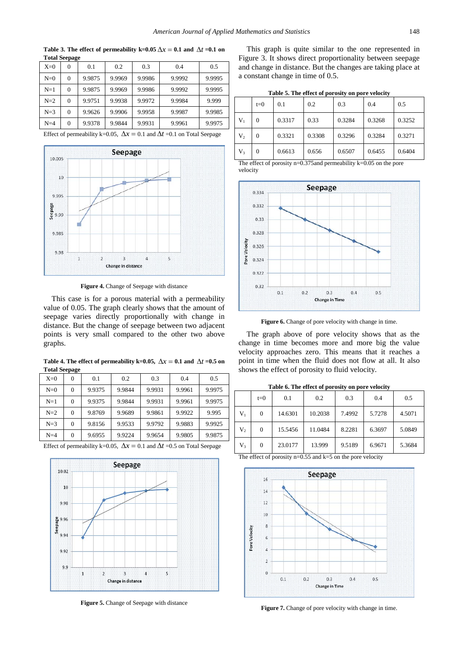| <b>Total Seepage</b> |          |        |        |        |        |        |  |  |
|----------------------|----------|--------|--------|--------|--------|--------|--|--|
| $X=0$                | 0        | 0.1    | 0.2    | 0.3    | 0.4    | 0.5    |  |  |
| $N=0$                | $\Omega$ | 9.9875 | 9.9969 | 9.9986 | 9.9992 | 9.9995 |  |  |
| $N=1$                | $\theta$ | 9.9875 | 9.9969 | 9.9986 | 9.9992 | 9.9995 |  |  |
| $N=2$                | $\theta$ | 9.9751 | 9.9938 | 9.9972 | 9.9984 | 9.999  |  |  |
| $N=3$                | $\Omega$ | 9.9626 | 9.9906 | 9.9958 | 9.9987 | 9.9985 |  |  |
| $N=4$                | $\theta$ | 9.9378 | 9.9844 | 9.9931 | 9.9961 | 9.9975 |  |  |

**Table 3. The effect of permeability k=0.05**  $\Delta x = 0.1$  and  $\Delta t = 0.1$  on

Effect of permeability k=0.05,  $\Delta x = 0.1$  and  $\Delta t = 0.1$  on Total Seepage



**Figure 4.** Change of Seepage with distance

This case is for a porous material with a permeability value of 0.05. The graph clearly shows that the amount of seepage varies directly proportionally with change in distance. But the change of seepage between two adjacent points is very small compared to the other two above graphs.

Table 4. The effect of permeability k=0.05,  $\Delta x = 0.1$  and  $\Delta t = 0.5$  on **Total Seepage**

| $X=0$ | $\Omega$ | 0.1    | 0.2    | 0.3    | 0.4    | 0.5    |
|-------|----------|--------|--------|--------|--------|--------|
| $N=0$ | $\Omega$ | 9.9375 | 9.9844 | 9.9931 | 9.9961 | 9.9975 |
| $N=1$ | $\Omega$ | 9.9375 | 9.9844 | 9.9931 | 9.9961 | 9.9975 |
| $N=2$ | 0        | 9.8769 | 9.9689 | 9.9861 | 9.9922 | 9.995  |
| $N=3$ | $\Omega$ | 9.8156 | 9.9533 | 9.9792 | 9.9883 | 9.9925 |
| $N=4$ | $\Omega$ | 9.6955 | 9.9224 | 9.9654 | 9.9805 | 9.9875 |

Effect of permeability k=0.05,  $\Delta x = 0.1$  and  $\Delta t = 0.5$  on Total Seepage



**Figure 5.** Change of Seepage with distance

This graph is quite similar to the one represented in Figure 3. It shows direct proportionality between seepage and change in distance. But the changes are taking place at a constant change in time of 0.5.

| Table 5. The effect of porosity on pore velocity |  |  |
|--------------------------------------------------|--|--|
|--------------------------------------------------|--|--|

|       | $t=0$ | 0.1    | 0.2    | 0.3    | 0.4    | 0.5    |
|-------|-------|--------|--------|--------|--------|--------|
| $V_1$ | 0     | 0.3317 | 0.33   | 0.3284 | 0.3268 | 0.3252 |
| $V_2$ | 0     | 0.3321 | 0.3308 | 0.3296 | 0.3284 | 0.3271 |
| $V_3$ | 0     | 0.6613 | 0.656  | 0.6507 | 0.6455 | 0.6404 |

The effect of porosity n=0.375and permeability k=0.05 on the pore velocity



Figure 6. Change of pore velocity with change in time.

The graph above of pore velocity shows that as the change in time becomes more and more big the value velocity approaches zero. This means that it reaches a point in time when the fluid does not flow at all. It also shows the effect of porosity to fluid velocity.

**Table 6. The effect of porosity on pore velocity** 

|         | $t=0$    | 0.1     | 0.2     | 0.3    | 0.4    | 0.5    |
|---------|----------|---------|---------|--------|--------|--------|
| $V_1$   | 0        | 14.6301 | 10.2038 | 7.4992 | 5.7278 | 4.5071 |
| $V_2$   | 0        | 15.5456 | 11.0484 | 8.2281 | 6.3697 | 5.0849 |
| $V_{3}$ | $\theta$ | 23.0177 | 13.999  | 9.5189 | 6.9671 | 5.3684 |

The effect of porosity  $n=0.55$  and  $k=5$  on the pore velocity



**Figure 7.** Change of pore velocity with change in time.